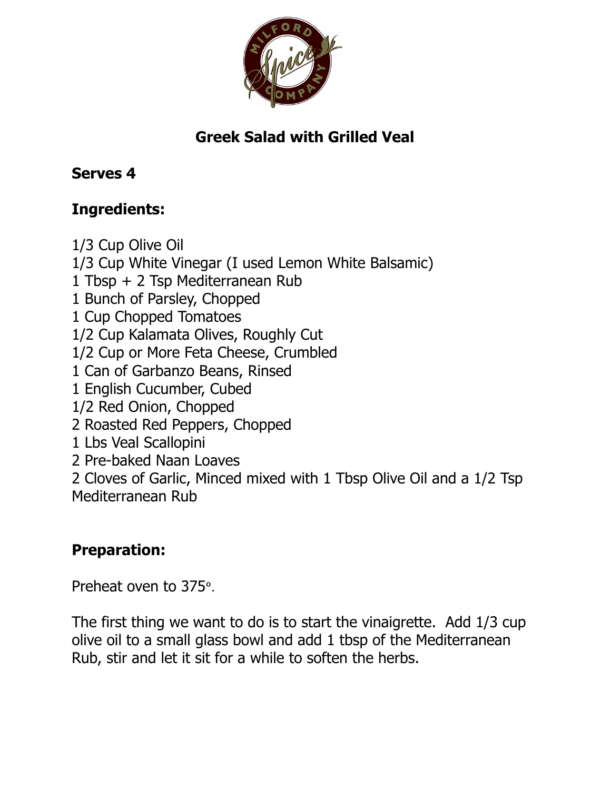

## **Greek Salad with Grilled Veal**

## **Serves 4**

## **Ingredients:**

1/3 Cup Olive Oil 1/3 Cup White Vinegar (I used Lemon White Balsamic) 1 Tbsp + 2 Tsp Mediterranean Rub 1 Bunch of Parsley, Chopped 1 Cup Chopped Tomatoes 1/2 Cup Kalamata Olives, Roughly Cut 1/2 Cup or More Feta Cheese, Crumbled 1 Can of Garbanzo Beans, Rinsed 1 English Cucumber, Cubed 1/2 Red Onion, Chopped 2 Roasted Red Peppers, Chopped 1 Lbs Veal Scallopini 2 Pre-baked Naan Loaves 2 Cloves of Garlic, Minced mixed with 1 Tbsp Olive Oil and a 1/2 Tsp Mediterranean Rub

## **Preparation:**

Preheat oven to 375º.

The first thing we want to do is to start the vinaigrette. Add 1/3 cup olive oil to a small glass bowl and add 1 tbsp of the Mediterranean Rub, stir and let it sit for a while to soften the herbs.